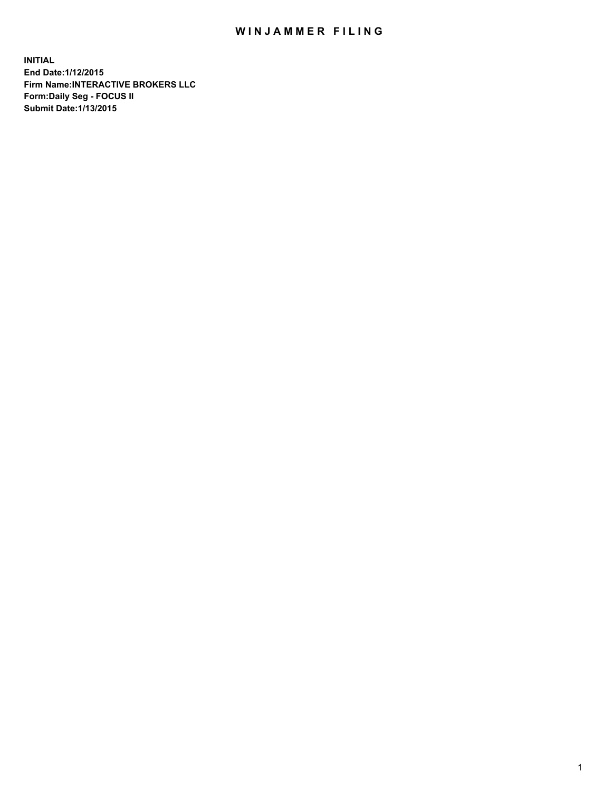## WIN JAMMER FILING

**INITIAL End Date:1/12/2015 Firm Name:INTERACTIVE BROKERS LLC Form:Daily Seg - FOCUS II Submit Date:1/13/2015**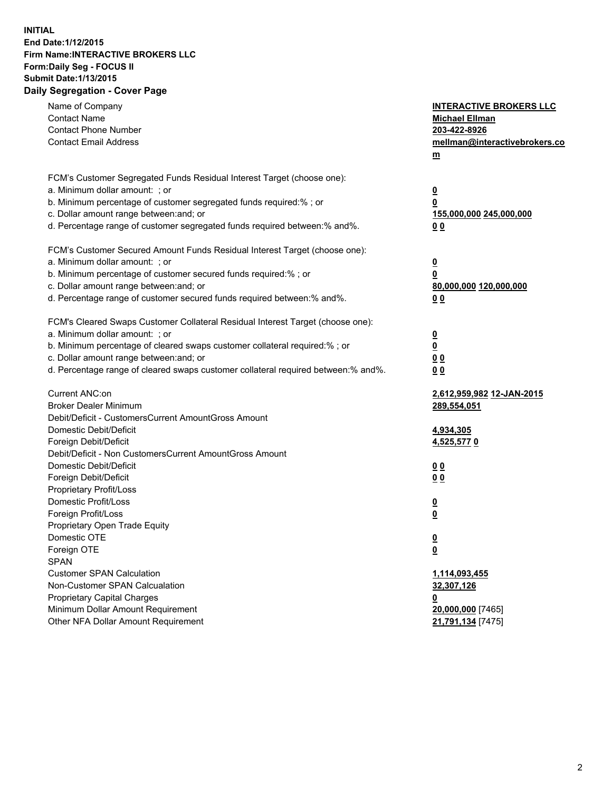## **INITIAL End Date:1/12/2015 Firm Name:INTERACTIVE BROKERS LLC Form:Daily Seg - FOCUS II Submit Date:1/13/2015 Daily Segregation - Cover Page**

| Name of Company<br><b>Contact Name</b><br><b>Contact Phone Number</b><br><b>Contact Email Address</b>    | <b>INTERACTIVE BROKERS LLC</b><br><b>Michael Ellman</b><br>203-422-8926<br>mellman@interactivebrokers.co<br>$m$ |
|----------------------------------------------------------------------------------------------------------|-----------------------------------------------------------------------------------------------------------------|
| FCM's Customer Segregated Funds Residual Interest Target (choose one):<br>a. Minimum dollar amount: ; or | $\overline{\mathbf{0}}$                                                                                         |
| b. Minimum percentage of customer segregated funds required:% ; or                                       | 0                                                                                                               |
| c. Dollar amount range between: and; or                                                                  | 155,000,000 245,000,000                                                                                         |
| d. Percentage range of customer segregated funds required between:% and%.                                | 0 <sub>0</sub>                                                                                                  |
| FCM's Customer Secured Amount Funds Residual Interest Target (choose one):                               |                                                                                                                 |
| a. Minimum dollar amount: ; or                                                                           | $\overline{\mathbf{0}}$                                                                                         |
| b. Minimum percentage of customer secured funds required:% ; or                                          | 0                                                                                                               |
| c. Dollar amount range between: and; or                                                                  | 80,000,000 120,000,000                                                                                          |
| d. Percentage range of customer secured funds required between:% and%.                                   | 0 <sub>0</sub>                                                                                                  |
| FCM's Cleared Swaps Customer Collateral Residual Interest Target (choose one):                           |                                                                                                                 |
| a. Minimum dollar amount: ; or                                                                           | $\overline{\mathbf{0}}$                                                                                         |
| b. Minimum percentage of cleared swaps customer collateral required:% ; or                               | $\overline{\mathbf{0}}$                                                                                         |
| c. Dollar amount range between: and; or                                                                  | 0 <sub>0</sub>                                                                                                  |
| d. Percentage range of cleared swaps customer collateral required between:% and%.                        | 0 <sub>0</sub>                                                                                                  |
| Current ANC:on                                                                                           | 2,612,959,982 12-JAN-2015                                                                                       |
| <b>Broker Dealer Minimum</b>                                                                             | 289,554,051                                                                                                     |
| Debit/Deficit - CustomersCurrent AmountGross Amount                                                      |                                                                                                                 |
| Domestic Debit/Deficit                                                                                   | 4,934,305                                                                                                       |
| Foreign Debit/Deficit                                                                                    | 4,525,5770                                                                                                      |
| Debit/Deficit - Non CustomersCurrent AmountGross Amount                                                  |                                                                                                                 |
| Domestic Debit/Deficit                                                                                   | 0 <sub>0</sub>                                                                                                  |
| Foreign Debit/Deficit                                                                                    | 0 <sub>0</sub>                                                                                                  |
| Proprietary Profit/Loss                                                                                  |                                                                                                                 |
| Domestic Profit/Loss                                                                                     | $\overline{\mathbf{0}}$                                                                                         |
| Foreign Profit/Loss                                                                                      | $\underline{\mathbf{0}}$                                                                                        |
| Proprietary Open Trade Equity<br>Domestic OTE                                                            |                                                                                                                 |
|                                                                                                          | <u>0</u>                                                                                                        |
| Foreign OTE<br><b>SPAN</b>                                                                               | <u>0</u>                                                                                                        |
| <b>Customer SPAN Calculation</b>                                                                         | 1,114,093,455                                                                                                   |
| Non-Customer SPAN Calcualation                                                                           | 32,307,126                                                                                                      |
| Proprietary Capital Charges                                                                              | <u>0</u>                                                                                                        |
| Minimum Dollar Amount Requirement                                                                        | 20,000,000 [7465]                                                                                               |
| Other NFA Dollar Amount Requirement                                                                      | 21,791,134 [7475]                                                                                               |
|                                                                                                          |                                                                                                                 |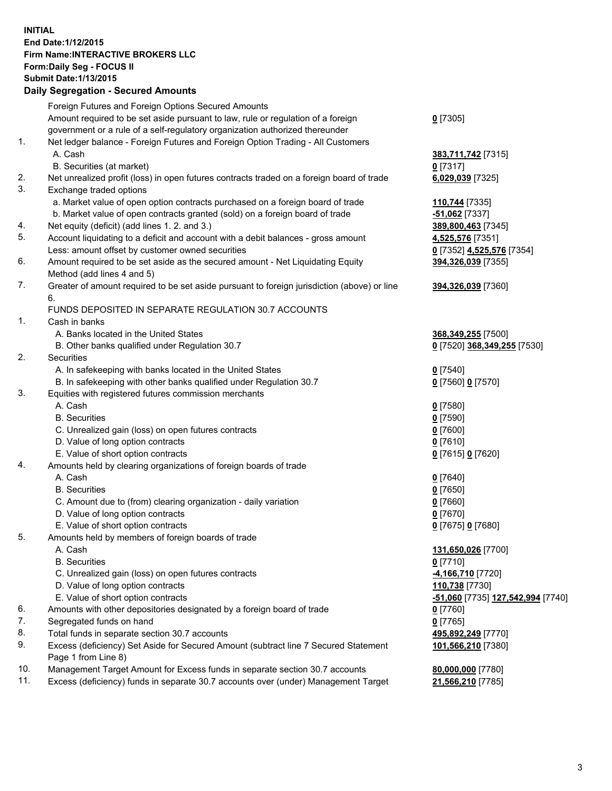## **INITIAL End Date:1/12/2015 Firm Name:INTERACTIVE BROKERS LLC Form:Daily Seg - FOCUS II Submit Date:1/13/2015 Daily Segregation - Secured Amounts**

|                | Daily Ocglegation - Occarea Anioants                                                                       |                                   |
|----------------|------------------------------------------------------------------------------------------------------------|-----------------------------------|
|                | Foreign Futures and Foreign Options Secured Amounts                                                        |                                   |
|                | Amount required to be set aside pursuant to law, rule or regulation of a foreign                           | $0$ [7305]                        |
|                | government or a rule of a self-regulatory organization authorized thereunder                               |                                   |
| 1.             | Net ledger balance - Foreign Futures and Foreign Option Trading - All Customers                            |                                   |
|                | A. Cash                                                                                                    | 383,711,742 [7315]                |
|                | B. Securities (at market)                                                                                  | $0$ [7317]                        |
| 2.             | Net unrealized profit (loss) in open futures contracts traded on a foreign board of trade                  | 6,029,039 [7325]                  |
| 3.             | Exchange traded options                                                                                    |                                   |
|                | a. Market value of open option contracts purchased on a foreign board of trade                             | 110,744 [7335]                    |
|                | b. Market value of open contracts granted (sold) on a foreign board of trade                               | $-51,062$ [7337]                  |
| 4.             | Net equity (deficit) (add lines 1.2. and 3.)                                                               | 389,800,463 [7345]                |
| 5.             | Account liquidating to a deficit and account with a debit balances - gross amount                          | 4,525,576 [7351]                  |
|                | Less: amount offset by customer owned securities                                                           | 0 [7352] 4,525,576 [7354]         |
| 6.             | Amount required to be set aside as the secured amount - Net Liquidating Equity                             | 394,326,039 [7355]                |
|                | Method (add lines 4 and 5)                                                                                 |                                   |
| 7.             | Greater of amount required to be set aside pursuant to foreign jurisdiction (above) or line                | 394,326,039 [7360]                |
|                | 6.                                                                                                         |                                   |
|                | FUNDS DEPOSITED IN SEPARATE REGULATION 30.7 ACCOUNTS                                                       |                                   |
| $\mathbf{1}$ . | Cash in banks                                                                                              |                                   |
|                | A. Banks located in the United States                                                                      | 368,349,255 [7500]                |
|                | B. Other banks qualified under Regulation 30.7                                                             | 0 [7520] 368,349,255 [7530]       |
| 2.             | Securities                                                                                                 |                                   |
|                | A. In safekeeping with banks located in the United States                                                  | $0$ [7540]                        |
|                | B. In safekeeping with other banks qualified under Regulation 30.7                                         | 0 [7560] 0 [7570]                 |
| 3.             | Equities with registered futures commission merchants                                                      |                                   |
|                | A. Cash                                                                                                    | $0$ [7580]                        |
|                | <b>B.</b> Securities                                                                                       | $0$ [7590]                        |
|                | C. Unrealized gain (loss) on open futures contracts                                                        | $0$ [7600]                        |
|                | D. Value of long option contracts                                                                          | $0$ [7610]                        |
|                | E. Value of short option contracts                                                                         | 0 [7615] 0 [7620]                 |
| 4.             | Amounts held by clearing organizations of foreign boards of trade                                          |                                   |
|                | A. Cash                                                                                                    | $0$ [7640]                        |
|                | <b>B.</b> Securities                                                                                       | $0$ [7650]                        |
|                | C. Amount due to (from) clearing organization - daily variation                                            | $0$ [7660]                        |
|                | D. Value of long option contracts                                                                          | $0$ [7670]                        |
|                | E. Value of short option contracts                                                                         | 0 [7675] 0 [7680]                 |
| 5.             | Amounts held by members of foreign boards of trade                                                         |                                   |
|                | A. Cash                                                                                                    | 131,650,026 [7700]                |
|                | <b>B.</b> Securities                                                                                       | $0$ [7710]                        |
|                | C. Unrealized gain (loss) on open futures contracts                                                        | -4,166,710 [7720]                 |
|                | D. Value of long option contracts                                                                          | 110,738 [7730]                    |
|                | E. Value of short option contracts                                                                         | -51,060 [7735] 127,542,994 [7740] |
| 6.             | Amounts with other depositories designated by a foreign board of trade                                     | 0 [7760]                          |
| 7.             | Segregated funds on hand                                                                                   | $0$ [7765]                        |
| 8.             | Total funds in separate section 30.7 accounts                                                              | 495,892,249 [7770]                |
| 9.             | Excess (deficiency) Set Aside for Secured Amount (subtract line 7 Secured Statement<br>Page 1 from Line 8) | 101,566,210 [7380]                |
| 10.            | Management Target Amount for Excess funds in separate section 30.7 accounts                                | 80,000,000 [7780]                 |
| 11.            | Excess (deficiency) funds in separate 30.7 accounts over (under) Management Target                         | 21,566,210 [7785]                 |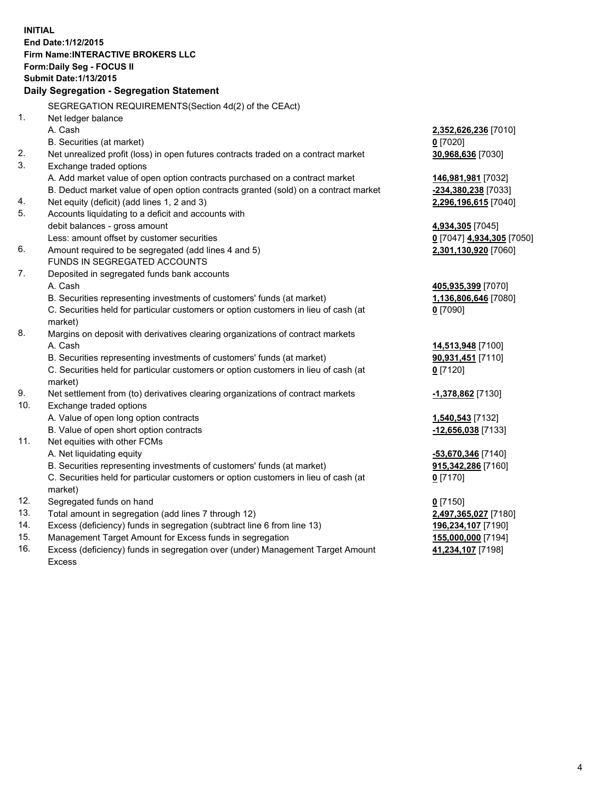**INITIAL End Date:1/12/2015 Firm Name:INTERACTIVE BROKERS LLC Form:Daily Seg - FOCUS II Submit Date:1/13/2015 Daily Segregation - Segregation Statement** SEGREGATION REQUIREMENTS(Section 4d(2) of the CEAct) 1. Net ledger balance A. Cash **2,352,626,236** [7010] B. Securities (at market) **0** [7020] 2. Net unrealized profit (loss) in open futures contracts traded on a contract market **30,968,636** [7030] 3. Exchange traded options A. Add market value of open option contracts purchased on a contract market **146,981,981** [7032] B. Deduct market value of open option contracts granted (sold) on a contract market **-234,380,238** [7033] 4. Net equity (deficit) (add lines 1, 2 and 3) **2,296,196,615** [7040] 5. Accounts liquidating to a deficit and accounts with debit balances - gross amount **4,934,305** [7045] Less: amount offset by customer securities **0** [7047] **4,934,305** [7050] 6. Amount required to be segregated (add lines 4 and 5) **2,301,130,920** [7060] FUNDS IN SEGREGATED ACCOUNTS 7. Deposited in segregated funds bank accounts A. Cash **405,935,399** [7070] B. Securities representing investments of customers' funds (at market) **1,136,806,646** [7080] C. Securities held for particular customers or option customers in lieu of cash (at market) **0** [7090] 8. Margins on deposit with derivatives clearing organizations of contract markets A. Cash **14,513,948** [7100] B. Securities representing investments of customers' funds (at market) **90,931,451** [7110] C. Securities held for particular customers or option customers in lieu of cash (at market) **0** [7120] 9. Net settlement from (to) derivatives clearing organizations of contract markets **-1,378,862** [7130] 10. Exchange traded options A. Value of open long option contracts **1,540,543** [7132] B. Value of open short option contracts **-12,656,038** [7133] 11. Net equities with other FCMs A. Net liquidating equity **-53,670,346** [7140] B. Securities representing investments of customers' funds (at market) **915,342,286** [7160] C. Securities held for particular customers or option customers in lieu of cash (at market) **0** [7170] 12. Segregated funds on hand **0** [7150] 13. Total amount in segregation (add lines 7 through 12) **2,497,365,027** [7180] 14. Excess (deficiency) funds in segregation (subtract line 6 from line 13) **196,234,107** [7190] 15. Management Target Amount for Excess funds in segregation **155,000,000** [7194] **41,234,107** [7198]

16. Excess (deficiency) funds in segregation over (under) Management Target Amount Excess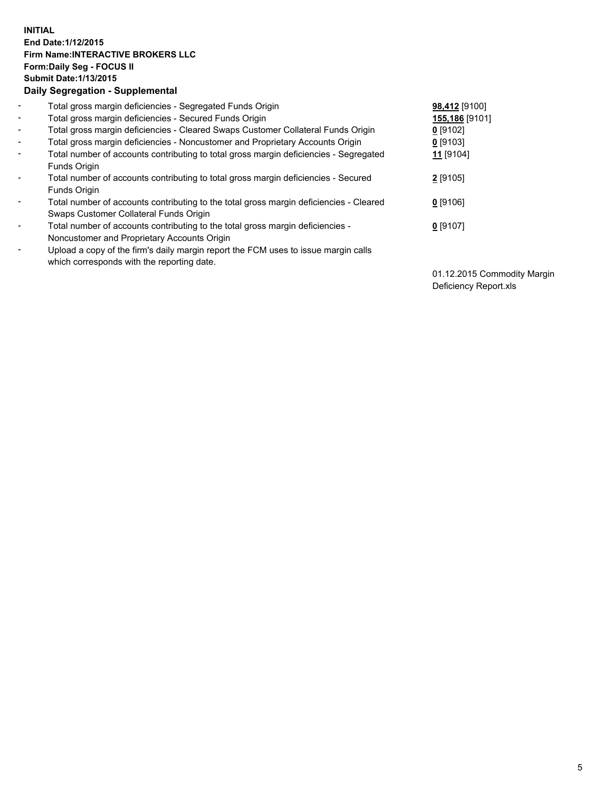## **INITIAL End Date:1/12/2015 Firm Name:INTERACTIVE BROKERS LLC Form:Daily Seg - FOCUS II Submit Date:1/13/2015 Daily Segregation - Supplemental**

| $\blacksquare$ | Total gross margin deficiencies - Segregated Funds Origin                              | 98,412 [9100]        |
|----------------|----------------------------------------------------------------------------------------|----------------------|
| $\blacksquare$ | Total gross margin deficiencies - Secured Funds Origin                                 | 155,186 [9101]       |
| Ξ.             | Total gross margin deficiencies - Cleared Swaps Customer Collateral Funds Origin       | $0$ [9102]           |
| $\blacksquare$ | Total gross margin deficiencies - Noncustomer and Proprietary Accounts Origin          | $0$ [9103]           |
| -              | Total number of accounts contributing to total gross margin deficiencies - Segregated  | 11 <sub>[9104]</sub> |
|                | Funds Origin                                                                           |                      |
| $\blacksquare$ | Total number of accounts contributing to total gross margin deficiencies - Secured     | 2 [9105]             |
|                | Funds Origin                                                                           |                      |
| -              | Total number of accounts contributing to the total gross margin deficiencies - Cleared | $0$ [9106]           |
|                | Swaps Customer Collateral Funds Origin                                                 |                      |
|                | Total number of accounts contributing to the total gross margin deficiencies -         | $0$ [9107]           |
|                | Noncustomer and Proprietary Accounts Origin                                            |                      |
| ۰              | Upload a copy of the firm's daily margin report the FCM uses to issue margin calls     |                      |
|                | which corresponds with the reporting date.                                             |                      |
|                |                                                                                        |                      |

01.12.2015 Commodity Margin Deficiency Report.xls